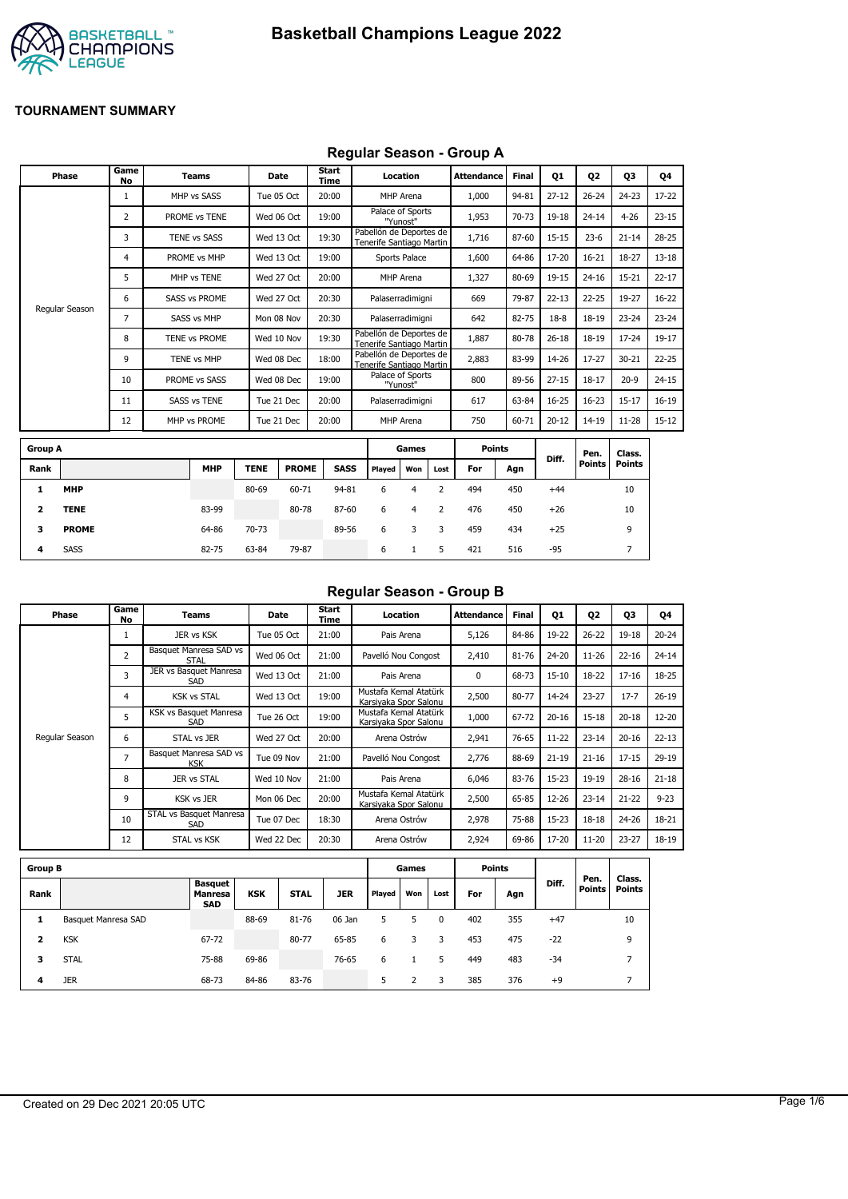

## **Regular Season - Group A**

| Phase          | Game<br>No | <b>Teams</b>         |             | Date                 | <b>Start</b><br><b>Time</b> |                                                     | Location                     |      | <b>Attendance</b> | <b>Final</b> | 01        | Q <sub>2</sub> | Q3            | Q4        |
|----------------|------------|----------------------|-------------|----------------------|-----------------------------|-----------------------------------------------------|------------------------------|------|-------------------|--------------|-----------|----------------|---------------|-----------|
|                | 1          | MHP vs SASS          |             | Tue 05 Oct           | 20:00                       |                                                     | MHP Arena                    |      | 1,000             | 94-81        | $27 - 12$ | $26 - 24$      | $24 - 23$     | 17-22     |
|                | 2          | PROME vs TENE        |             | Wed 06 Oct           | 19:00                       |                                                     | Palace of Sports<br>"Yunost" |      | 1,953             | 70-73        | 19-18     | $24 - 14$      | $4 - 26$      | $23 - 15$ |
|                | 3          | TENE vs SASS         |             | Wed 13 Oct           | 19:30                       | Pabellón de Deportes de<br>Tenerife Santiago Martin |                              |      | 1,716             | 87-60        | $15 - 15$ | $23 - 6$       | $21 - 14$     | $28 - 25$ |
|                | 4          | PROME vs MHP         |             | Wed 13 Oct           | 19:00                       |                                                     | Sports Palace                |      | 1,600             | 64-86        | 17-20     | $16 - 21$      | 18-27         | $13 - 18$ |
|                | 5          | MHP vs TENE          |             | Wed 27 Oct           | 20:00                       |                                                     | MHP Arena                    |      | 1,327             | 80-69        | 19-15     | $24 - 16$      | $15 - 21$     | $22 - 17$ |
|                | 6          | <b>SASS vs PROME</b> |             | Wed 27 Oct           | 20:30                       |                                                     | Palaserradimigni             |      | 669               | 79-87        | $22 - 13$ | $22 - 25$      | 19-27         | $16 - 22$ |
| Regular Season | 7          | <b>SASS vs MHP</b>   |             | Mon 08 Nov           | 20:30                       |                                                     | Palaserradimigni             |      | 642               | 82-75        | $18-8$    | $18 - 19$      | $23 - 24$     | $23 - 24$ |
|                | 8          | TENE vs PROME        |             | Wed 10 Nov           | 19:30                       | Pabellón de Deportes de<br>Tenerife Santiago Martin |                              |      | 1,887             | 80-78        | $26 - 18$ | $18 - 19$      | $17 - 24$     | 19-17     |
|                | 9          | <b>TENE vs MHP</b>   |             | Wed 08 Dec           | 18:00                       | Pabellón de Deportes de<br>Tenerife Santiago Martin |                              |      | 2,883             | 83-99        | 14-26     | $17 - 27$      | $30 - 21$     | $22 - 25$ |
|                | 10         | PROME vs SASS        |             | Wed 08 Dec           | 19:00                       |                                                     | Palace of Sports<br>"Yunost" |      | 800               | 89-56        | $27 - 15$ | $18 - 17$      | $20 - 9$      | $24 - 15$ |
|                | 11         | <b>SASS vs TENE</b>  |             | Tue 21 Dec           | 20:00                       |                                                     | Palaserradimigni             |      | 617               | 63-84        | $16 - 25$ | $16 - 23$      | $15 - 17$     | $16-19$   |
|                | 12         | MHP vs PROME         |             | Tue 21 Dec           | 20:00                       |                                                     | MHP Arena                    |      | 750               | 60-71        | $20 - 12$ | 14-19          | $11 - 28$     | $15 - 12$ |
| <b>Group A</b> |            |                      |             |                      |                             |                                                     | Games                        |      | <b>Points</b>     |              |           | Pen.           | Class.        |           |
| Rank           |            | <b>MHP</b>           | <b>TENE</b> | <b>PROME</b>         | <b>SASS</b>                 | Played                                              | Won                          | Lost | For               | Agn          | Diff.     | <b>Points</b>  | <b>Points</b> |           |
|                |            |                      |             | $\sim$ $\sim$ $\sim$ | $\sim$ $\sim$               |                                                     |                              |      | $\sim$            |              |           |                |               |           |

|      |              |            |             |              |       |        |     |      |     |     |       | ген.   | ulass. |  |
|------|--------------|------------|-------------|--------------|-------|--------|-----|------|-----|-----|-------|--------|--------|--|
| Rank |              | <b>MHP</b> | <b>TENE</b> | <b>PROME</b> | SASS  | Played | Won | Lost | For | Agn | Diff. | Points | Points |  |
|      | <b>MHP</b>   |            | 80-69       | 60-71        | 94-81 | 6      |     |      | 494 | 450 | $+44$ |        | 10     |  |
|      | <b>TENE</b>  | 83-99      |             | 80-78        | 87-60 | 6      | 4   |      | 476 | 450 | $+26$ |        | 10     |  |
| з    | <b>PROME</b> | 64-86      | 70-73       |              | 89-56 | 6      | 3   | -3   | 459 | 434 | $+25$ |        | 9      |  |
| 4    | <b>SASS</b>  | 82-75      | 63-84       | 79-87        |       | 6      |     |      | 421 | 516 | -95   |        |        |  |

## **Regular Season - Group B**

| Phase          | Game<br>No     | Teams                                 | Date       | Start<br>Time | Location                                       | <b>Attendance</b> | <b>Final</b> | Q1        | Q2        | Q3        | Q4        |
|----------------|----------------|---------------------------------------|------------|---------------|------------------------------------------------|-------------------|--------------|-----------|-----------|-----------|-----------|
|                |                | JER vs KSK                            | Tue 05 Oct | 21:00         | Pais Arena                                     | 5,126             | 84-86        | 19-22     | $26 - 22$ | 19-18     | $20 - 24$ |
|                | 2              | Basquet Manresa SAD vs<br><b>STAL</b> | Wed 06 Oct | 21:00         | Pavelló Nou Congost                            | 2,410             | 81-76        | $24 - 20$ | $11 - 26$ | $22 - 16$ | $24 - 14$ |
|                | 3              | JER vs Basquet Manresa<br><b>SAD</b>  | Wed 13 Oct | 21:00         | Pais Arena                                     | 0                 | 68-73        | $15 - 10$ | 18-22     | $17 - 16$ | 18-25     |
|                | 4              | <b>KSK vs STAL</b>                    | Wed 13 Oct | 19:00         | Mustafa Kemal Atatürk<br>Karsiyaka Spor Salonu | 2,500             | 80-77        | 14-24     | $23 - 27$ | $17 - 7$  | $26 - 19$ |
|                | 5              | KSK vs Basquet Manresa<br>SAD         | Tue 26 Oct | 19:00         | Mustafa Kemal Atatürk<br>Karsiyaka Spor Salonu | 1,000             | 67-72        | $20 - 16$ | $15 - 18$ | $20 - 18$ | $12 - 20$ |
| Regular Season | 6              | STAL vs JER                           | Wed 27 Oct | 20:00         | Arena Ostrów                                   | 2,941             | 76-65        | $11 - 22$ | $23 - 14$ | $20 - 16$ | $22 - 13$ |
|                | $\overline{7}$ | Basquet Manresa SAD vs<br><b>KSK</b>  | Tue 09 Nov | 21:00         | Pavelló Nou Congost                            | 2,776             | 88-69        | $21 - 19$ | $21 - 16$ | $17 - 15$ | $29-19$   |
|                | 8              | <b>JER vs STAL</b>                    | Wed 10 Nov | 21:00         | Pais Arena                                     | 6,046             | 83-76        | $15 - 23$ | 19-19     | $28 - 16$ | $21 - 18$ |
|                | 9              | <b>KSK vs JER</b>                     | Mon 06 Dec | 20:00         | Mustafa Kemal Atatürk<br>Karsiyaka Spor Salonu | 2,500             | 65-85        | $12 - 26$ | $23 - 14$ | $21 - 22$ | $9 - 23$  |
|                | 10             | STAL vs Basquet Manresa<br>SAD        | Tue 07 Dec | 18:30         | Arena Ostrów                                   | 2,978             | 75-88        | $15 - 23$ | $18 - 18$ | 24-26     | 18-21     |
|                | 12             | <b>STAL vs KSK</b>                    | Wed 22 Dec | 20:30         | Arena Ostrów                                   | 2,924             | 69-86        | 17-20     | $11 - 20$ | $23 - 27$ | 18-19     |

| <b>Group B</b> |                     |                                                |            |             |            |        | Games |          | <b>Points</b> |     |       |                       |                  |
|----------------|---------------------|------------------------------------------------|------------|-------------|------------|--------|-------|----------|---------------|-----|-------|-----------------------|------------------|
| Rank           |                     | <b>Basquet</b><br><b>Manresa</b><br><b>SAD</b> | <b>KSK</b> | <b>STAL</b> | <b>JER</b> | Played | Won   | Lost     | For           | Agn | Diff. | Pen.<br><b>Points</b> | Class.<br>Points |
| л              | Basquet Manresa SAD |                                                | 88-69      | 81-76       | 06 Jan     | 5.     | 5     | $\Omega$ | 402           | 355 | $+47$ |                       | 10               |
| 2              | <b>KSK</b>          | 67-72                                          |            | 80-77       | 65-85      | 6      | 3     | 3        | 453           | 475 | $-22$ |                       | 9                |
| з              | <b>STAL</b>         | 75-88                                          | 69-86      |             | 76-65      | 6      |       | 5        | 449           | 483 | $-34$ |                       | -                |
| 4              | <b>JER</b>          | 68-73                                          | 84-86      | 83-76       |            | 5      |       | 3        | 385           | 376 | $+9$  |                       |                  |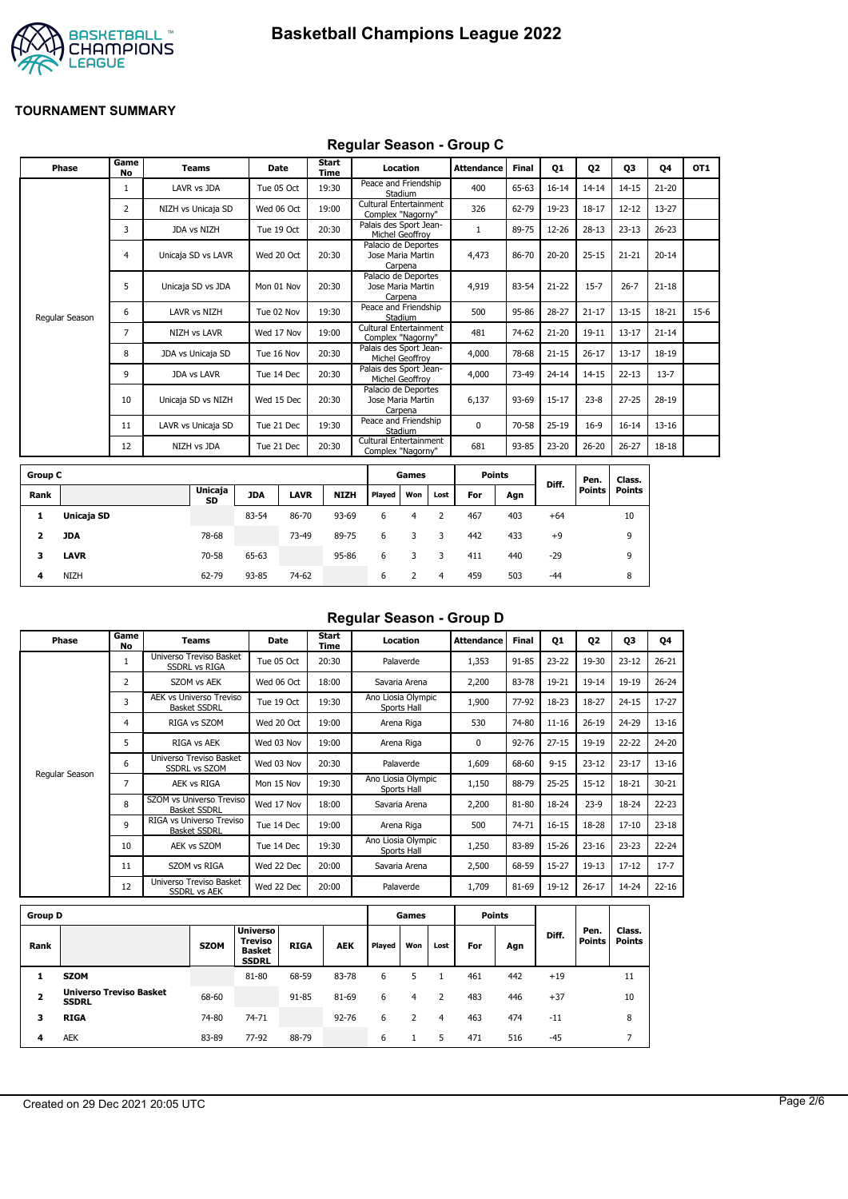



### **Regular Season - Group C**

| Phase          | Game<br><b>No</b> | <b>Teams</b>        | <b>Date</b> | Start<br>Time | Location                                            | Attendance | <b>Final</b> | Q1        | Q <sub>2</sub> | Q3        | 04        | OT <sub>1</sub> |
|----------------|-------------------|---------------------|-------------|---------------|-----------------------------------------------------|------------|--------------|-----------|----------------|-----------|-----------|-----------------|
|                |                   | LAVR vs JDA         | Tue 05 Oct  | 19:30         | Peace and Friendship<br>Stadium                     | 400        | 65-63        | $16 - 14$ | $14 - 14$      | $14 - 15$ | $21 - 20$ |                 |
|                | 2                 | NIZH vs Unicaja SD  | Wed 06 Oct  | 19:00         | Cultural Entertainment<br>Complex "Nagorny"         | 326        | 62-79        | 19-23     | $18 - 17$      | $12 - 12$ | 13-27     |                 |
|                | 3                 | JDA vs NIZH         | Tue 19 Oct  | 20:30         | Palais des Sport Jean-<br>Michel Geoffrov           |            | 89-75        | 12-26     | $28 - 13$      | $23 - 13$ | $26 - 23$ |                 |
|                | 4                 | Unicaja SD vs LAVR  | Wed 20 Oct  | 20:30         | Palacio de Deportes<br>Jose Maria Martin<br>Carpena | 4,473      | 86-70        | $20 - 20$ | $25 - 15$      | $21 - 21$ | $20 - 14$ |                 |
|                | 5                 | Unicaja SD vs JDA   | Mon 01 Nov  | 20:30         | Palacio de Deportes<br>Jose Maria Martin<br>Carpena | 4,919      | 83-54        | $21 - 22$ | $15 - 7$       | $26 - 7$  | $21 - 18$ |                 |
| Regular Season | 6                 | LAVR vs NIZH        | Tue 02 Nov  | 19:30         | Peace and Friendship<br>Stadium                     | 500        | 95-86        | $28 - 27$ | $21 - 17$      | $13 - 15$ | 18-21     | $15-6$          |
|                | 7                 | <b>NIZH vs LAVR</b> | Wed 17 Nov  | 19:00         | Cultural Entertainment<br>Complex "Nagorny"         | 481        | 74-62        | $21 - 20$ | $19 - 11$      | $13 - 17$ | $21 - 14$ |                 |
|                | 8                 | JDA vs Unicaja SD   | Tue 16 Nov  | 20:30         | Palais des Sport Jean-<br>Michel Geoffrov           | 4,000      | 78-68        | $21 - 15$ | $26 - 17$      | $13 - 17$ | 18-19     |                 |
|                | 9                 | <b>JDA vs LAVR</b>  | Tue 14 Dec  | 20:30         | Palais des Sport Jean-<br>Michel Geoffrov           | 4,000      | 73-49        | $24 - 14$ | $14 - 15$      | $22 - 13$ | $13 - 7$  |                 |
|                | 10                | Unicaja SD vs NIZH  | Wed 15 Dec  | 20:30         | Palacio de Deportes<br>Jose Maria Martin<br>Carpena | 6,137      | 93-69        | $15 - 17$ | $23 - 8$       | $27 - 25$ | 28-19     |                 |
|                | 11                | LAVR vs Unicaja SD  | Tue 21 Dec  | 19:30         | Peace and Friendship<br>Stadium                     | 0          | 70-58        | $25-19$   | $16-9$         | $16 - 14$ | $13 - 16$ |                 |
|                | 12                | NIZH vs JDA         | Tue 21 Dec  | 20:30         | Cultural Entertainment<br>Complex "Nagorny"         | 681        | 93-85        | 23-20     | $26 - 20$      | $26 - 27$ | 18-18     |                 |
|                |                   |                     |             |               |                                                     |            |              |           |                |           |           |                 |

| <b>Group C</b> |             |               |            |             |             |        | Games |      |     | <b>Points</b> |       | Pen.          | Class. |
|----------------|-------------|---------------|------------|-------------|-------------|--------|-------|------|-----|---------------|-------|---------------|--------|
| Rank           |             | Unicaja<br>SD | <b>JDA</b> | <b>LAVR</b> | <b>NIZH</b> | Played | Won   | Lost | For | Agn           | Diff. | <b>Points</b> | Points |
|                | Unicaja SD  |               | 83-54      | 86-70       | 93-69       | 6      | 4     |      | 467 | 403           | $+64$ |               | 10     |
| 2              | <b>JDA</b>  | 78-68         |            | 73-49       | 89-75       | 6      | 3     | 3    | 442 | 433           | $+9$  |               | 9      |
| 3              | <b>LAVR</b> | 70-58         | 65-63      |             | 95-86       | 6      |       |      | 411 | 440           | $-29$ |               | 9      |
| 4              | <b>NIZH</b> | 62-79         | 93-85      | 74-62       |             | 6      |       | 4    | 459 | 503           | $-44$ |               | 8      |

# **Regular Season - Group D**

| Phase          | Game<br>No     | Teams                                                 | <b>Date</b> | Start<br>Time | Location                          | <b>Attendance</b> | Final     | Q1        | 02        | 03        | Q4        |
|----------------|----------------|-------------------------------------------------------|-------------|---------------|-----------------------------------|-------------------|-----------|-----------|-----------|-----------|-----------|
|                | 1              | Universo Treviso Basket<br><b>SSDRL vs RIGA</b>       | Tue 05 Oct  | 20:30         | Palaverde                         | 1,353             | 91-85     | $23 - 22$ | 19-30     | $23 - 12$ | $26 - 21$ |
|                | $\overline{2}$ | SZOM vs AEK                                           | Wed 06 Oct  | 18:00         | Savaria Arena                     | 2,200             | 83-78     | 19-21     | $19 - 14$ | 19-19     | $26 - 24$ |
|                | 3              | <b>AEK vs Universo Treviso</b><br><b>Basket SSDRL</b> | Tue 19 Oct  | 19:30         | Ano Liosia Olympic<br>Sports Hall | 1,900             | 77-92     | 18-23     | 18-27     | $24 - 15$ | $17 - 27$ |
|                | 4              | RIGA vs SZOM                                          | Wed 20 Oct  | 19:00         | Arena Riga                        | 530               | 74-80     | $11 - 16$ | $26 - 19$ | 24-29     | $13 - 16$ |
|                | 5              | RIGA vs AEK                                           | Wed 03 Nov  | 19:00         | Arena Riga                        | 0                 | $92 - 76$ | $27 - 15$ | 19-19     | $22 - 22$ | 24-20     |
|                | 6              | Universo Treviso Basket<br><b>SSDRL vs SZOM</b>       | Wed 03 Nov  | 20:30         | Palaverde                         | 1,609             | 68-60     | $9 - 15$  | $23 - 12$ | $23 - 17$ | $13 - 16$ |
| Regular Season | 7              | AEK vs RIGA                                           | Mon 15 Nov  | 19:30         | Ano Liosia Olympic<br>Sports Hall | 1,150             | 88-79     | $25 - 25$ | $15 - 12$ | 18-21     | $30 - 21$ |
|                | 8              | SZOM vs Universo Treviso<br><b>Basket SSDRL</b>       | Wed 17 Nov  | 18:00         | Savaria Arena                     | 2,200             | 81-80     | 18-24     | $23-9$    | 18-24     | $22 - 23$ |
|                | 9              | RIGA vs Universo Treviso<br><b>Basket SSDRL</b>       | Tue 14 Dec  | 19:00         | Arena Riga                        | 500               | 74-71     | $16 - 15$ | 18-28     | $17 - 10$ | $23 - 18$ |
|                | 10             | AEK vs SZOM                                           | Tue 14 Dec  | 19:30         | Ano Liosia Olympic<br>Sports Hall | 1,250             | 83-89     | 15-26     | $23 - 16$ | $23 - 23$ | $22 - 24$ |
|                | 11             | SZOM vs RIGA                                          | Wed 22 Dec  | 20:00         | Savaria Arena                     | 2,500             | 68-59     | $15 - 27$ | $19-13$   | $17 - 12$ | $17 - 7$  |
|                | 12             | Universo Treviso Basket<br><b>SSDRL vs AEK</b>        | Wed 22 Dec  | 20:00         | Palaverde                         | 1,709             | 81-69     | 19-12     | $26 - 17$ | 14-24     | $22 - 16$ |
|                |                |                                                       |             |               |                                   |                   |           |           |           |           |           |

| <b>Group D</b> |                                                |             |                                                                    |             |            |        | Games |      |     | <b>Points</b> |       |                       |                         |
|----------------|------------------------------------------------|-------------|--------------------------------------------------------------------|-------------|------------|--------|-------|------|-----|---------------|-------|-----------------------|-------------------------|
| Rank           |                                                | <b>SZOM</b> | <b>Universo</b><br><b>Treviso</b><br><b>Basket</b><br><b>SSDRL</b> | <b>RIGA</b> | <b>AEK</b> | Played | Won   | Lost | For | Agn           | Diff. | Pen.<br><b>Points</b> | Class.<br><b>Points</b> |
|                | <b>SZOM</b>                                    |             | 81-80                                                              | 68-59       | 83-78      | 6      |       |      | 461 | 442           | $+19$ |                       | 11                      |
| 2              | <b>Universo Treviso Basket</b><br><b>SSDRL</b> | 68-60       |                                                                    | 91-85       | 81-69      | 6      | 4     |      | 483 | 446           | $+37$ |                       | 10                      |
| 3              | <b>RIGA</b>                                    | 74-80       | 74-71                                                              |             | $92 - 76$  | 6      |       | 4    | 463 | 474           | $-11$ |                       | 8                       |
| 4              | <b>AEK</b>                                     | 83-89       | 77-92                                                              | 88-79       |            | 6      |       | 5    | 471 | 516           | $-45$ |                       |                         |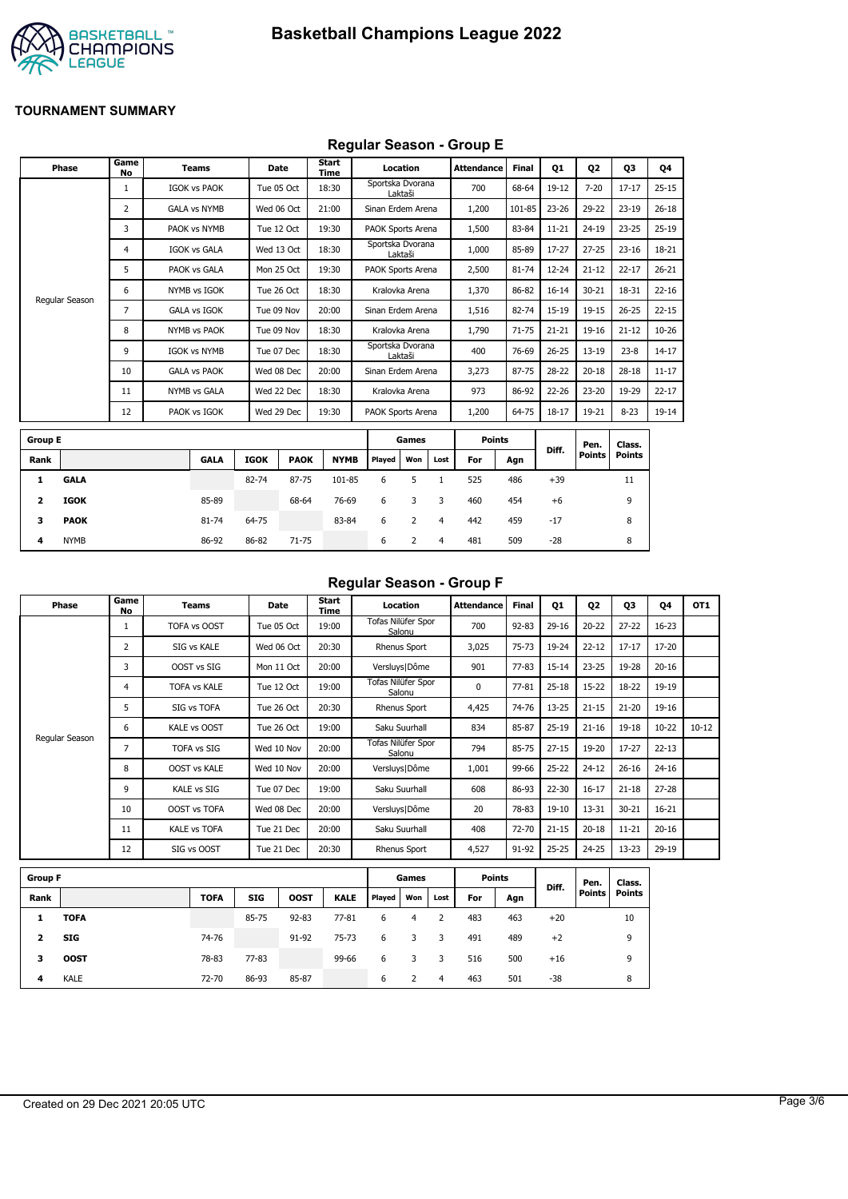

## **Regular Season - Group E**

|                | Phase          | Game<br>No     | <b>Teams</b>        |             | <b>Date</b> | Start<br>Time |                   | Location |                | <b>Attendance</b> | <b>Final</b> | 01        | <b>Q2</b>     | 03            | Q4        |
|----------------|----------------|----------------|---------------------|-------------|-------------|---------------|-------------------|----------|----------------|-------------------|--------------|-----------|---------------|---------------|-----------|
|                |                | $\mathbf{1}$   | <b>IGOK vs PAOK</b> |             | Tue 05 Oct  | 18:30         | Sportska Dvorana  | Laktaši  |                | 700               | 68-64        | $19-12$   | $7 - 20$      | $17 - 17$     | $25 - 15$ |
|                |                | $\overline{2}$ | <b>GALA vs NYMB</b> |             | Wed 06 Oct  | 21:00         | Sinan Erdem Arena |          |                | 1,200             | 101-85       | $23 - 26$ | 29-22         | $23 - 19$     | $26 - 18$ |
|                |                | 3              | PAOK vs NYMB        |             | Tue 12 Oct  | 19:30         | PAOK Sports Arena |          |                | 1,500             | 83-84        | $11 - 21$ | $24 - 19$     | $23 - 25$     | $25-19$   |
|                |                | 4              | <b>IGOK vs GALA</b> |             | Wed 13 Oct  | 18:30         | Sportska Dvorana  | Laktaši  |                | 1,000             | 85-89        | 17-27     | $27 - 25$     | $23 - 16$     | 18-21     |
|                |                | 5              | PAOK vs GALA        |             | Mon 25 Oct  | 19:30         | PAOK Sports Arena |          |                | 2,500             | 81-74        | 12-24     | $21 - 12$     | $22 - 17$     | $26 - 21$ |
|                |                | 6              | NYMB vs IGOK        |             | Tue 26 Oct  | 18:30         | Kralovka Arena    |          |                | 1,370             | 86-82        | $16 - 14$ | $30 - 21$     | 18-31         | $22 - 16$ |
|                | Regular Season | 7              | <b>GALA vs IGOK</b> |             | Tue 09 Nov  | 20:00         | Sinan Erdem Arena |          |                | 1,516             | 82-74        | 15-19     | $19 - 15$     | $26 - 25$     | $22 - 15$ |
|                |                | 8              | <b>NYMB vs PAOK</b> |             | Tue 09 Nov  | 18:30         | Kralovka Arena    |          |                | 1,790             | $71 - 75$    | $21 - 21$ | $19 - 16$     | $21 - 12$     | $10 - 26$ |
|                |                | 9              | <b>IGOK vs NYMB</b> |             | Tue 07 Dec  | 18:30         | Sportska Dvorana  | Laktaši  |                | 400               | 76-69        | $26 - 25$ | $13 - 19$     | $23 - 8$      | $14 - 17$ |
|                |                | 10             | <b>GALA vs PAOK</b> |             | Wed 08 Dec  | 20:00         | Sinan Erdem Arena |          |                | 3,273             | 87-75        | 28-22     | $20 - 18$     | $28 - 18$     | $11 - 17$ |
|                |                | 11             | NYMB vs GALA        |             | Wed 22 Dec  | 18:30         | Kralovka Arena    |          |                | 973               | 86-92        | 22-26     | $23 - 20$     | 19-29         | $22 - 17$ |
|                |                | 12             | PAOK vs IGOK        |             | Wed 29 Dec  | 19:30         | PAOK Sports Arena |          |                | 1,200             | 64-75        | $18 - 17$ | 19-21         | $8 - 23$      | 19-14     |
| <b>Group E</b> |                |                |                     |             |             |               |                   | Games    |                | <b>Points</b>     |              |           | Pen.          | Class.        |           |
| Rank           |                |                | <b>GALA</b>         | <b>IGOK</b> | <b>PAOK</b> | <b>NYMB</b>   | Played            | Won      | Lost           | For               | Agn          | Diff.     | <b>Points</b> | <b>Points</b> |           |
| 1              | <b>GALA</b>    |                |                     | 82-74       | 87-75       | 101-85        | 6                 | 5        | $\mathbf{1}$   | 525               | 486          | $+39$     |               | 11            |           |
| 2              | <b>IGOK</b>    |                | 85-89               |             | 68-64       | 76-69         | 6                 | 3        | 3              | 460               | 454          | $+6$      |               | 9             |           |
| 3              | <b>PAOK</b>    |                | 81-74               | 64-75       |             | 83-84         | 6                 | 2        | $\overline{4}$ | 442               | 459          | $-17$     |               | 8             |           |
| 4              | <b>NYMB</b>    |                | 86-92               | 86-82       | 71-75       |               | 6                 | 2        | 4              | 481               | 509          | $-28$     |               | 8             |           |

#### **Regular Season - Group F**

| Phase          | Game<br>No     | Teams               | Date       | Start<br>Time | Location                     | <b>Attendance</b> | <b>Final</b> | Q1        | Q <sub>2</sub> | Q <sub>3</sub> | 04        | OT <sub>1</sub> |
|----------------|----------------|---------------------|------------|---------------|------------------------------|-------------------|--------------|-----------|----------------|----------------|-----------|-----------------|
|                |                | TOFA vs OOST        | Tue 05 Oct | 19:00         | Tofas Nilüfer Spor<br>Salonu | 700               | $92 - 83$    | $29-16$   | $20 - 22$      | $27 - 22$      | $16 - 23$ |                 |
|                | $\overline{2}$ | SIG vs KALE         | Wed 06 Oct | 20:30         | Rhenus Sport                 | 3,025             | $75 - 73$    | 19-24     | $22 - 12$      | $17 - 17$      | 17-20     |                 |
|                | 3              | OOST vs SIG         | Mon 11 Oct | 20:00         | Versluys   Dôme              | 901               | $77 - 83$    | $15 - 14$ | $23 - 25$      | 19-28          | $20 - 16$ |                 |
|                | 4              | <b>TOFA vs KALE</b> | Tue 12 Oct | 19:00         | Tofas Nilüfer Spor<br>Salonu | 0                 | $77 - 81$    | $25 - 18$ | $15-22$        | $18 - 22$      | 19-19     |                 |
|                | 5              | SIG vs TOFA         | Tue 26 Oct | 20:30         | Rhenus Sport                 | 4,425             | 74-76        | $13 - 25$ | $21 - 15$      | $21 - 20$      | 19-16     |                 |
|                | 6              | KALE vs OOST        | Tue 26 Oct | 19:00         | Saku Suurhall                | 834               | 85-87        | $25-19$   | $21 - 16$      | 19-18          | $10 - 22$ | $10 - 12$       |
| Regular Season | 7              | <b>TOFA vs SIG</b>  | Wed 10 Nov | 20:00         | Tofas Nilüfer Spor<br>Salonu | 794               | 85-75        | $27 - 15$ | 19-20          | $17 - 27$      | $22 - 13$ |                 |
|                | 8              | <b>OOST vs KALE</b> | Wed 10 Nov | 20:00         | Versluys   Dôme              | 1,001             | 99-66        | $25 - 22$ | $24 - 12$      | $26 - 16$      | $24 - 16$ |                 |
|                | 9              | <b>KALE vs SIG</b>  | Tue 07 Dec | 19:00         | Saku Suurhall                | 608               | 86-93        | 22-30     | $16 - 17$      | $21 - 18$      | $27 - 28$ |                 |
|                | 10             | <b>OOST vs TOFA</b> | Wed 08 Dec | 20:00         | Versluys   Dôme              | 20                | 78-83        | $19 - 10$ | 13-31          | $30 - 21$      | $16 - 21$ |                 |
|                | 11             | <b>KALE vs TOFA</b> | Tue 21 Dec | 20:00         | Saku Suurhall                | 408               | 72-70        | $21 - 15$ | $20 - 18$      | $11 - 21$      | $20 - 16$ |                 |
|                | 12             | SIG vs OOST         | Tue 21 Dec | 20:30         | Rhenus Sport                 | 4,527             | 91-92        | $25 - 25$ | $24 - 25$      | $13 - 23$      | $29-19$   |                 |

| <b>Group F</b> |             |             |            |             |             |        | Games |      | <b>Points</b> |     |       | Pen.          | Class.        |
|----------------|-------------|-------------|------------|-------------|-------------|--------|-------|------|---------------|-----|-------|---------------|---------------|
| Rank           |             | <b>TOFA</b> | <b>SIG</b> | <b>OOST</b> | <b>KALE</b> | Played | Won   | Lost | For           | Agn | Diff. | <b>Points</b> | <b>Points</b> |
|                | <b>TOFA</b> |             | 85-75      | $92 - 83$   | $77 - 81$   | 6      | 4     |      | 483           | 463 | $+20$ |               | 10            |
| 2              | <b>SIG</b>  | 74-76       |            | 91-92       | $75 - 73$   | 6      |       | 3    | 491           | 489 | $+2$  |               | 9             |
| з              | <b>OOST</b> | 78-83       | $77 - 83$  |             | 99-66       | 6      |       | 3    | 516           | 500 | $+16$ |               | 9             |
| 4              | <b>KALE</b> | 72-70       | 86-93      | 85-87       |             | 6      |       | 4    | 463           | 501 | $-38$ |               | 8             |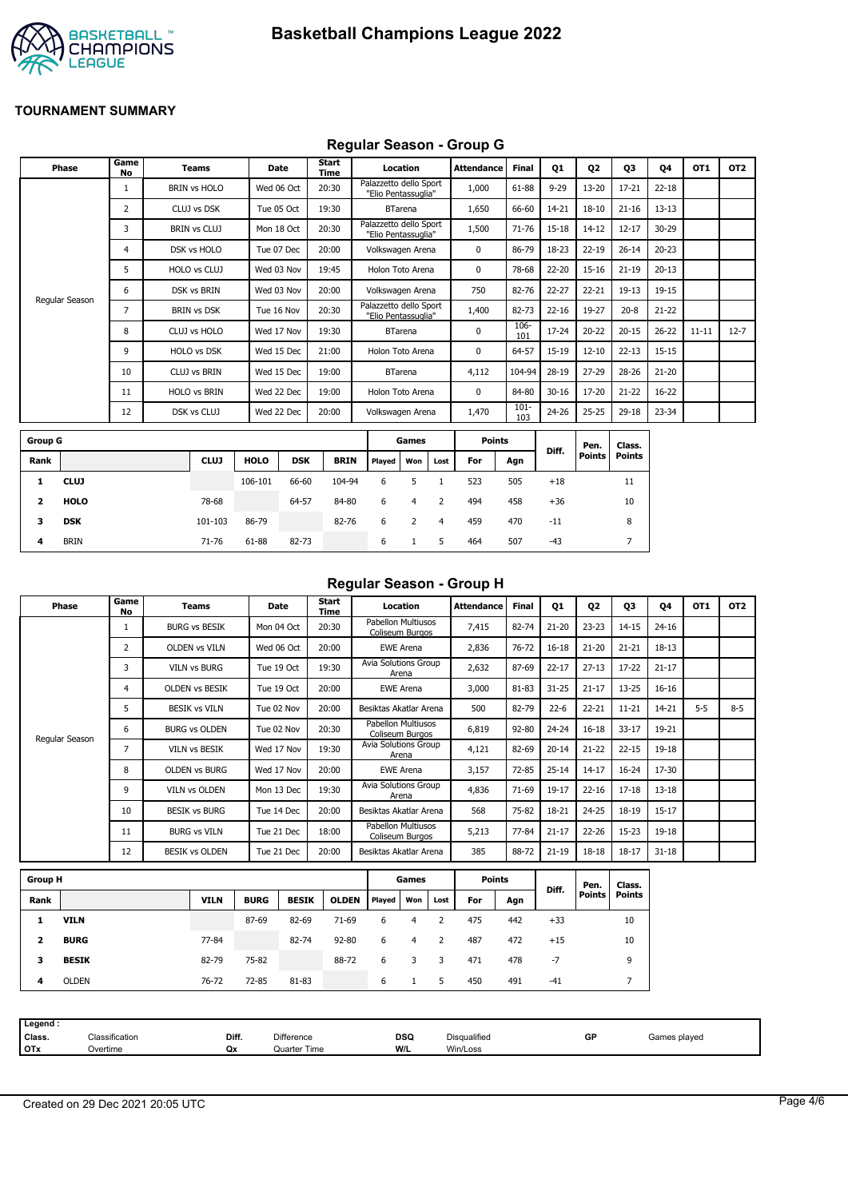

## **Regular Season - Group G**

| <b>Phase</b>     | Game<br>No | <b>Teams</b>        | Date        |            | <b>Start</b><br>Time |                                               | Location       |      | <b>Attendance</b> | <b>Final</b>   | <b>Q1</b> | 02            | Q3            | 04        | OT <sub>1</sub> | OT <sub>2</sub> |
|------------------|------------|---------------------|-------------|------------|----------------------|-----------------------------------------------|----------------|------|-------------------|----------------|-----------|---------------|---------------|-----------|-----------------|-----------------|
|                  |            | <b>BRIN vs HOLO</b> | Wed 06 Oct  |            | 20:30                | Palazzetto dello Sport<br>"Elio Pentassuglia" |                |      | 1,000             | 61-88          | $9 - 29$  | $13 - 20$     | $17 - 21$     | $22 - 18$ |                 |                 |
|                  | 2          | CLUJ vs DSK         | Tue 05 Oct  |            | 19:30                |                                               | <b>BTarena</b> |      | 1,650             | 66-60          | $14 - 21$ | $18 - 10$     | $21 - 16$     | $13 - 13$ |                 |                 |
|                  | 3          | <b>BRIN vs CLUJ</b> | Mon 18 Oct  |            | 20:30                | Palazzetto dello Sport<br>"Elio Pentassuglia" |                |      | 1,500             | $71 - 76$      | 15-18     | $14 - 12$     | $12 - 17$     | 30-29     |                 |                 |
|                  | 4          | DSK vs HOLO         | Tue 07 Dec  |            | 20:00                | Volkswagen Arena                              |                |      | 0                 | 86-79          | 18-23     | $22 - 19$     | $26 - 14$     | $20 - 23$ |                 |                 |
|                  | 5.         | <b>HOLO vs CLUJ</b> | Wed 03 Nov  |            | 19:45                | Holon Toto Arena                              |                |      | 0                 | 78-68          | 22-20     | $15 - 16$     | $21 - 19$     | $20 - 13$ |                 |                 |
|                  | 6          | <b>DSK vs BRIN</b>  | Wed 03 Nov  |            | 20:00                | Volkswagen Arena                              |                |      | 750               | 82-76          | $22 - 27$ | $22 - 21$     | $19-13$       | 19-15     |                 |                 |
| Regular Season   | 7          | <b>BRIN vs DSK</b>  | Tue 16 Nov  |            | 20:30                | Palazzetto dello Sport<br>"Elio Pentassuglia" |                |      | 1,400             | 82-73          | $22 - 16$ | 19-27         | $20 - 8$      | $21 - 22$ |                 |                 |
|                  | 8          | CLUJ vs HOLO        | Wed 17 Nov  |            | 19:30                |                                               | <b>BTarena</b> |      | $\mathbf 0$       | 106-<br>101    | 17-24     | $20 - 22$     | $20 - 15$     | $26 - 22$ | $11 - 11$       | $12 - 7$        |
|                  | 9          | <b>HOLO vs DSK</b>  | Wed 15 Dec  |            | 21:00                | Holon Toto Arena                              |                |      | 0                 | 64-57          | 15-19     | $12 - 10$     | $22 - 13$     | $15 - 15$ |                 |                 |
|                  | 10         | <b>CLUJ vs BRIN</b> | Wed 15 Dec  |            | 19:00                |                                               | <b>BTarena</b> |      | 4,112             | 104-94         | 28-19     | $27 - 29$     | 28-26         | $21 - 20$ |                 |                 |
|                  | 11         | <b>HOLO vs BRIN</b> | Wed 22 Dec  |            | 19:00                | Holon Toto Arena                              |                |      | $\mathbf 0$       | 84-80          | $30 - 16$ | 17-20         | $21 - 22$     | $16 - 22$ |                 |                 |
|                  | 12         | DSK vs CLUJ         | Wed 22 Dec  |            | 20:00                | Volkswagen Arena                              |                |      | 1,470             | $101 -$<br>103 | 24-26     | $25 - 25$     | $29 - 18$     | 23-34     |                 |                 |
| <b>Group G</b>   |            |                     |             |            |                      |                                               | Games          |      | <b>Points</b>     |                |           | Pen.          | Class.        |           |                 |                 |
| Rank             |            | <b>CLUJ</b>         | <b>HOLO</b> | <b>DSK</b> | <b>BRIN</b>          | Played                                        | Won            | Lost | For               | Agn            | Diff.     | <b>Points</b> | <b>Points</b> |           |                 |                 |
| <b>CLUJ</b><br>1 |            |                     | 106-101     | 66-60      | 104-94               | 6                                             | 5              |      | 523               | 505            | $+18$     |               | 11            |           |                 |                 |

| Regular Season - Group H |  |  |
|--------------------------|--|--|
|                          |  |  |

| Phase          | Game<br>No | Teams                 | Date       | Start<br>Time | Location                              | <b>Attendance</b> | <b>Final</b> | Q1        | Q <sub>2</sub> | Q3        | Q4        | OT <sub>1</sub> | OT <sub>2</sub> |
|----------------|------------|-----------------------|------------|---------------|---------------------------------------|-------------------|--------------|-----------|----------------|-----------|-----------|-----------------|-----------------|
|                |            | <b>BURG vs BESIK</b>  | Mon 04 Oct | 20:30         | Pabellon Multiusos<br>Coliseum Burgos | 7,415             | 82-74        | $21 - 20$ | $23 - 23$      | $14 - 15$ | $24 - 16$ |                 |                 |
|                | 2          | <b>OLDEN vs VILN</b>  | Wed 06 Oct | 20:00         | <b>EWE Arena</b>                      | 2,836             | 76-72        | $16 - 18$ | $21 - 20$      | $21 - 21$ | $18 - 13$ |                 |                 |
|                | 3          | <b>VILN vs BURG</b>   | Tue 19 Oct | 19:30         | Avia Solutions Group<br>Arena         | 2,632             | 87-69        | $22 - 17$ | $27 - 13$      | $17 - 22$ | $21 - 17$ |                 |                 |
|                | 4          | <b>OLDEN VS BESIK</b> | Tue 19 Oct | 20:00         | <b>EWE Arena</b>                      | 3,000             | 81-83        | $31 - 25$ | $21 - 17$      | $13 - 25$ | $16 - 16$ |                 |                 |
|                | 5          | <b>BESIK vs VILN</b>  | Tue 02 Nov | 20:00         | Besiktas Akatlar Arena                | 500               | 82-79        | $22 - 6$  | $22 - 21$      | $11 - 21$ | 14-21     | $5-5$           | $8 - 5$         |
|                | 6          | <b>BURG vs OLDEN</b>  | Tue 02 Nov | 20:30         | Pabellon Multiusos<br>Coliseum Burgos | 6,819             | 92-80        | $24 - 24$ | $16 - 18$      | $33 - 17$ | 19-21     |                 |                 |
| Regular Season | 7          | <b>VILN vs BESIK</b>  | Wed 17 Nov | 19:30         | Avia Solutions Group<br>Arena         | 4,121             | 82-69        | $20 - 14$ | $21 - 22$      | $22 - 15$ | 19-18     |                 |                 |
|                | 8          | <b>OLDEN vs BURG</b>  | Wed 17 Nov | 20:00         | <b>EWE Arena</b>                      | 3,157             | 72-85        | $25 - 14$ | $14 - 17$      | $16 - 24$ | 17-30     |                 |                 |
|                | 9          | <b>VILN vs OLDEN</b>  | Mon 13 Dec | 19:30         | Avia Solutions Group<br>Arena         | 4,836             | 71-69        | 19-17     | $22 - 16$      | $17 - 18$ | $13 - 18$ |                 |                 |
|                | 10         | <b>BESIK vs BURG</b>  | Tue 14 Dec | 20:00         | Besiktas Akatlar Arena                | 568               | 75-82        | 18-21     | $24 - 25$      | 18-19     | $15 - 17$ |                 |                 |
|                | 11         | <b>BURG vs VILN</b>   | Tue 21 Dec | 18:00         | Pabellon Multiusos<br>Coliseum Burgos | 5,213             | 77-84        | $21 - 17$ | $22 - 26$      | $15 - 23$ | $19 - 18$ |                 |                 |
|                | 12         | <b>BESIK vs OLDEN</b> | Tue 21 Dec | 20:00         | Besiktas Akatlar Arena                | 385               | 88-72        | $21 - 19$ | 18-18          | $18 - 17$ | $31 - 18$ |                 |                 |

| <b>Group H</b> |              |             |             |              |              | Games  |     |      | <b>Points</b> |     |       | Pen.   | Class.        |
|----------------|--------------|-------------|-------------|--------------|--------------|--------|-----|------|---------------|-----|-------|--------|---------------|
| Rank           |              | <b>VILN</b> | <b>BURG</b> | <b>BESIK</b> | <b>OLDEN</b> | Played | Won | Lost | For           | Agn | Diff. | Points | <b>Points</b> |
|                | <b>VILN</b>  |             | 87-69       | 82-69        | $71-69$      | 6      | 4   |      | 475           | 442 | $+33$ |        | 10            |
| 2              | <b>BURG</b>  | 77-84       |             | 82-74        | $92 - 80$    | 6      | 4   |      | 487           | 472 | $+15$ |        | 10            |
| 3              | <b>BESIK</b> | 82-79       | 75-82       |              | 88-72        | 6      | 3   | 3    | 471           | 478 | $-7$  |        | 9             |
| 4              | <b>OLDEN</b> | 76-72       | $72 - 85$   | 81-83        |              | 6      |     | 5    | 450           | 491 | $-41$ |        | ∍             |

**2 HOLO** 78-68 64-57 84-80 6 4 2 494 458 +36 10 **3 DSK** 101-103 86-79 82-76 6 2 4 459 470 -11 8 **4** BRIN 71-76 61-88 82-73 6 1 5 464 507 -43 7

| Diff.<br><b>DSQ</b><br><b>Disqualified</b><br>GP<br>Classification<br>Difference<br>Class.<br>Games played<br>W/L<br><b>OTx</b><br>Quarter Time<br>Win/Loss<br>Overtime<br>Qx | Legend : |  |  |  |  |
|-------------------------------------------------------------------------------------------------------------------------------------------------------------------------------|----------|--|--|--|--|
|                                                                                                                                                                               |          |  |  |  |  |
|                                                                                                                                                                               |          |  |  |  |  |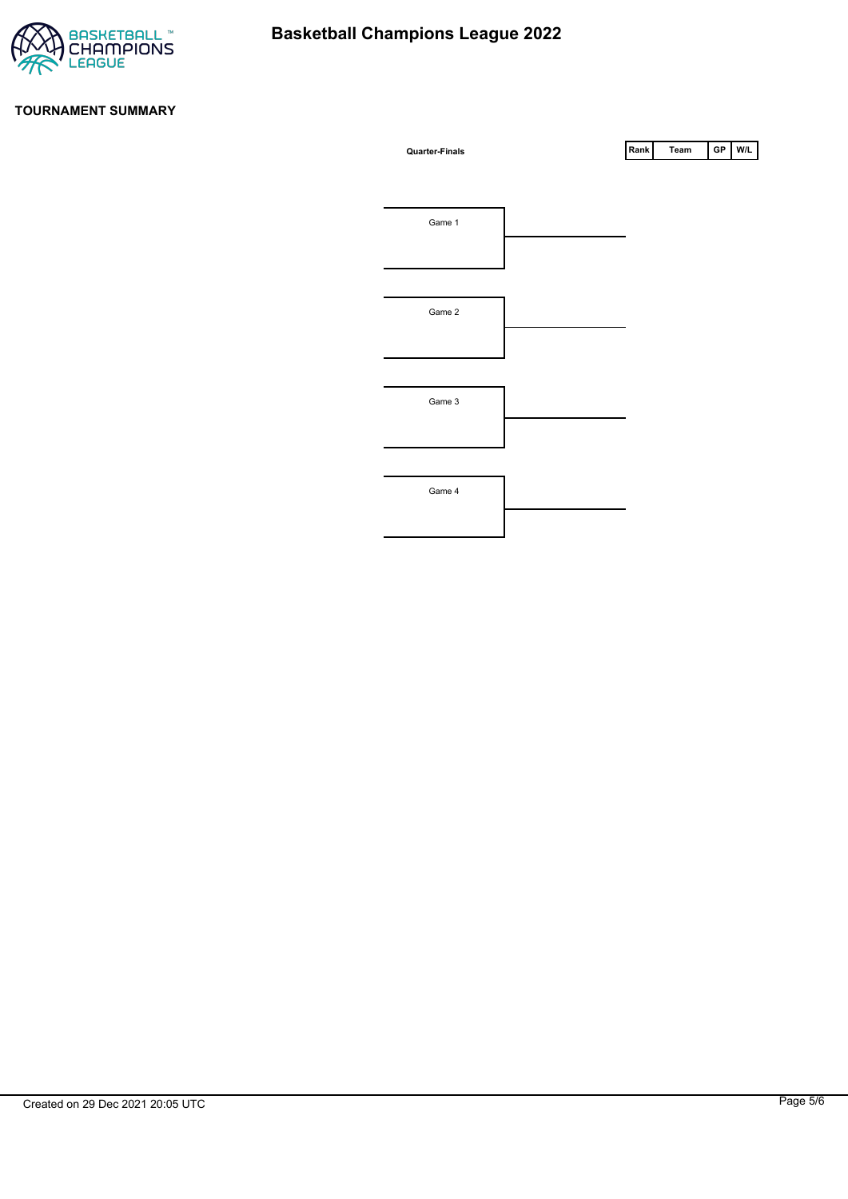